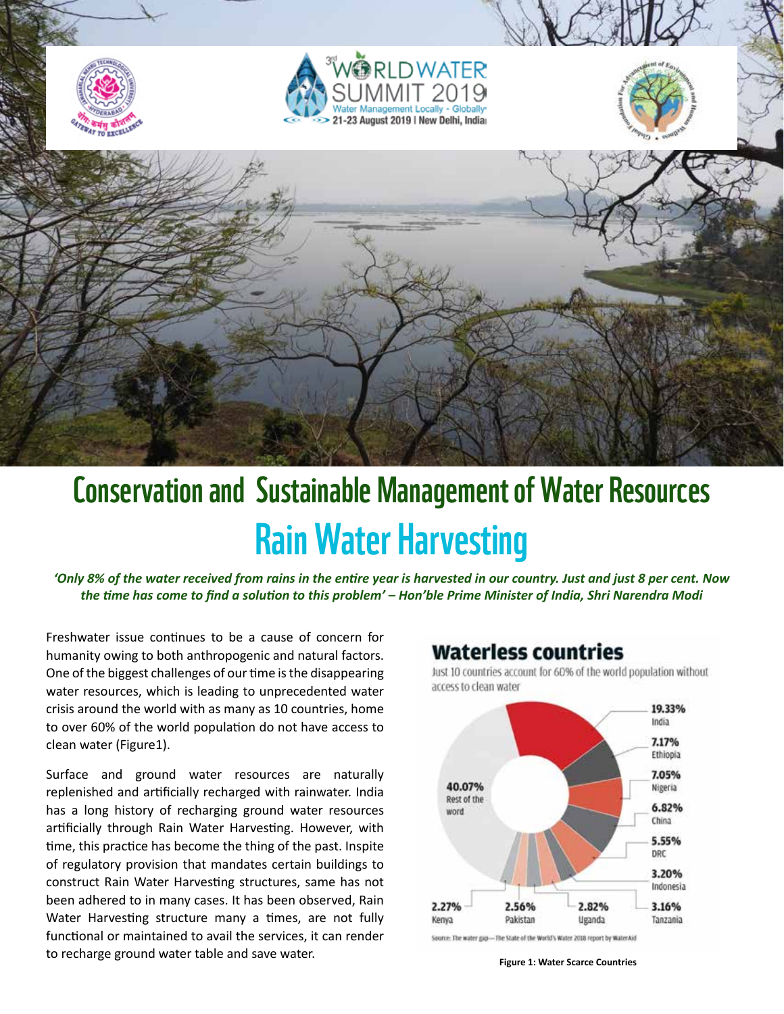

# Conservation and Sustainable Management of Water Resources Rain Water Harvesting

*'Only 8% of the water received from rains in the entire year is harvested in our country. Just and just 8 per cent. Now the time has come to find a solution to this problem' – Hon'ble Prime Minister of India, Shri Narendra Modi*

Freshwater issue continues to be a cause of concern for humanity owing to both anthropogenic and natural factors. One of the biggest challenges of our time is the disappearing water resources, which is leading to unprecedented water crisis around the world with as many as 10 countries, home to over 60% of the world population do not have access to clean water (Figure1).

Surface and ground water resources are naturally replenished and artificially recharged with rainwater. India has a long history of recharging ground water resources artificially through Rain Water Harvesting. However, with time, this practice has become the thing of the past. Inspite of regulatory provision that mandates certain buildings to construct Rain Water Harvesting structures, same has not been adhered to in many cases. It has been observed, Rain Water Harvesting structure many a times, are not fully functional or maintained to avail the services, it can render to recharge ground water table and save water.

## **Waterless countries**

Just 10 countries account for 60% of the world population without access to clean water



Source: The water gap-The State of the World's Water 2018 report by WaterAid

**Figure 1: Water Scarce Countries**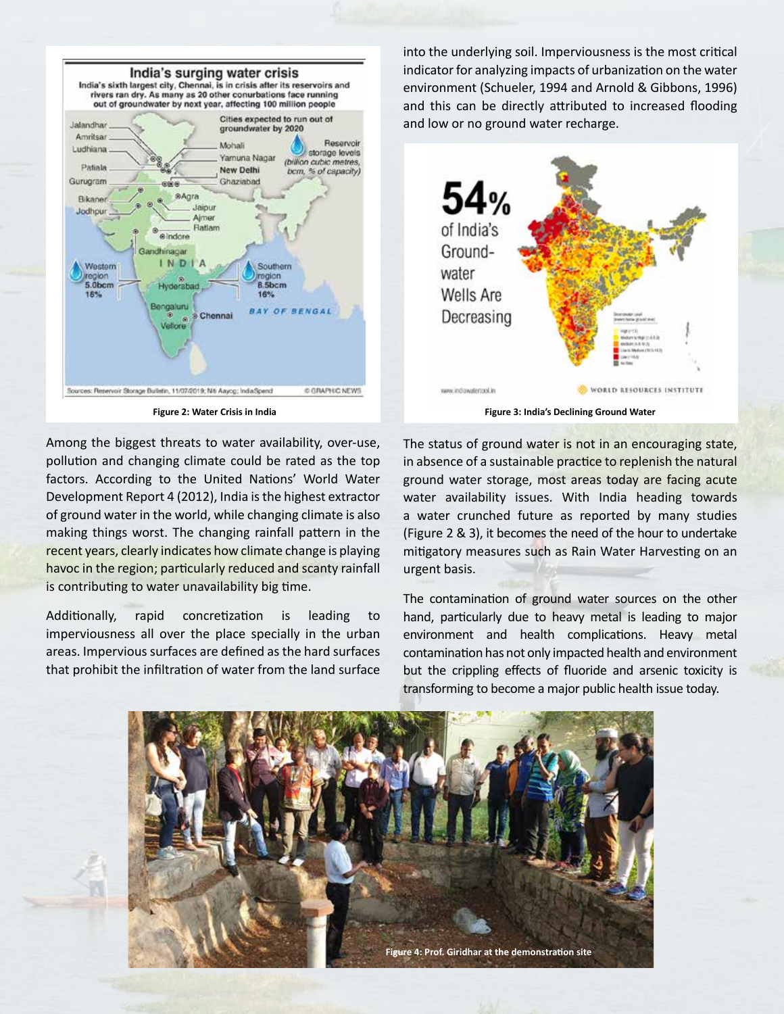

Among the biggest threats to water availability, over-use, pollution and changing climate could be rated as the top factors. According to the United Nations' World Water Development Report 4 (2012), India is the highest extractor of ground water in the world, while changing climate is also making things worst. The changing rainfall pattern in the recent years, clearly indicates how climate change is playing havoc in the region; particularly reduced and scanty rainfall is contributing to water unavailability big time.

Additionally, rapid concretization is leading to imperviousness all over the place specially in the urban areas. Impervious surfaces are defined as the hard surfaces that prohibit the infiltration of water from the land surface

into the underlying soil. Imperviousness is the most critical indicator for analyzing impacts of urbanization on the water environment (Schueler, 1994 and Arnold & Gibbons, 1996) and this can be directly attributed to increased flooding and low or no ground water recharge.



The status of ground water is not in an encouraging state, in absence of a sustainable practice to replenish the natural ground water storage, most areas today are facing acute water availability issues. With India heading towards a water crunched future as reported by many studies (Figure 2 & 3), it becomes the need of the hour to undertake mitigatory measures such as Rain Water Harvesting on an urgent basis.

The contamination of ground water sources on the other hand, particularly due to heavy metal is leading to major environment and health complications. Heavy metal contamination has not only impacted health and environment but the crippling effects of fluoride and arsenic toxicity is transforming to become a major public health issue today.

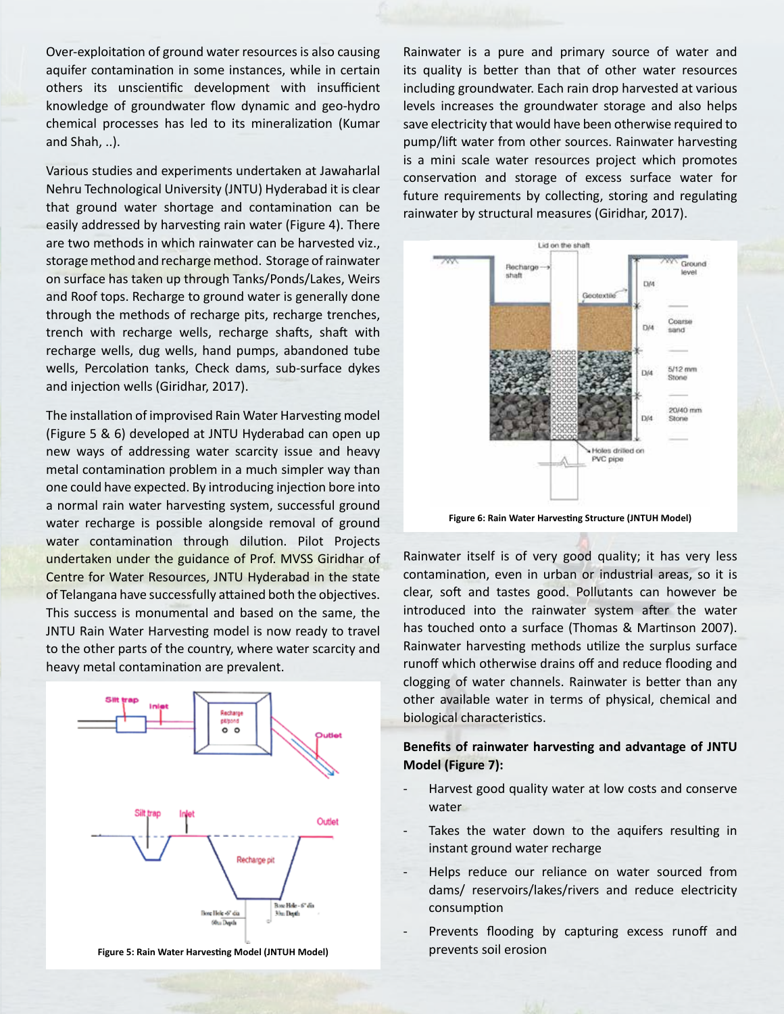Over-exploitation of ground water resources is also causing aquifer contamination in some instances, while in certain others its unscientific development with insufficient knowledge of groundwater flow dynamic and geo-hydro chemical processes has led to its mineralization (Kumar and Shah, ..).

Various studies and experiments undertaken at Jawaharlal Nehru Technological University (JNTU) Hyderabad it is clear that ground water shortage and contamination can be easily addressed by harvesting rain water (Figure 4). There are two methods in which rainwater can be harvested viz., storage method and recharge method. Storage of rainwater on surface has taken up through Tanks/Ponds/Lakes, Weirs and Roof tops. Recharge to ground water is generally done through the methods of recharge pits, recharge trenches, trench with recharge wells, recharge shafts, shaft with recharge wells, dug wells, hand pumps, abandoned tube wells, Percolation tanks, Check dams, sub-surface dykes and injection wells (Giridhar, 2017).

The installation of improvised Rain Water Harvesting model (Figure 5 & 6) developed at JNTU Hyderabad can open up new ways of addressing water scarcity issue and heavy metal contamination problem in a much simpler way than one could have expected. By introducing injection bore into a normal rain water harvesting system, successful ground water recharge is possible alongside removal of ground water contamination through dilution. Pilot Projects undertaken under the guidance of Prof. MVSS Giridhar of Centre for Water Resources, JNTU Hyderabad in the state of Telangana have successfully attained both the objectives. This success is monumental and based on the same, the JNTU Rain Water Harvesting model is now ready to travel to the other parts of the country, where water scarcity and heavy metal contamination are prevalent.



**Figure 5: Rain Water Harvesting Model (JNTUH Model)**

Rainwater is a pure and primary source of water and its quality is better than that of other water resources including groundwater. Each rain drop harvested at various levels increases the groundwater storage and also helps save electricity that would have been otherwise required to pump/lift water from other sources. Rainwater harvesting is a mini scale water resources project which promotes conservation and storage of excess surface water for future requirements by collecting, storing and regulating rainwater by structural measures (Giridhar, 2017).



**Figure 6: Rain Water Harvesting Structure (JNTUH Model)**

Rainwater itself is of very good quality; it has very less contamination, even in urban or industrial areas, so it is clear, soft and tastes good. Pollutants can however be introduced into the rainwater system after the water has touched onto a surface (Thomas & Martinson 2007). Rainwater harvesting methods utilize the surplus surface runoff which otherwise drains off and reduce flooding and clogging of water channels. Rainwater is better than any other available water in terms of physical, chemical and biological characteristics.

### **Benefits of rainwater harvesting and advantage of JNTU Model (Figure 7):**

- Harvest good quality water at low costs and conserve water
- Takes the water down to the aquifers resulting in instant ground water recharge
- Helps reduce our reliance on water sourced from dams/ reservoirs/lakes/rivers and reduce electricity consumption
- Prevents flooding by capturing excess runoff and prevents soil erosion